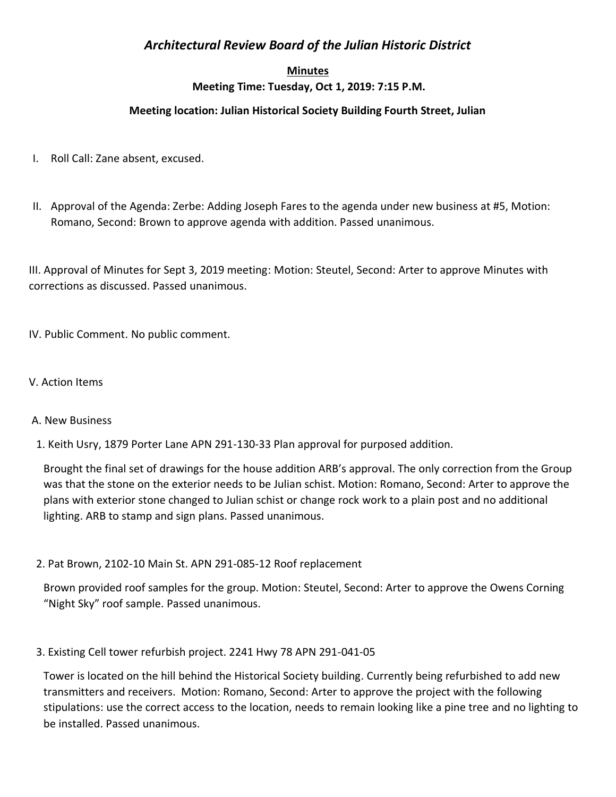# *Architectural Review Board of the Julian Historic District*

#### **Minutes**

## **Meeting Time: Tuesday, Oct 1, 2019: 7:15 P.M.**

## **Meeting location: Julian Historical Society Building Fourth Street, Julian**

- I. Roll Call: Zane absent, excused.
- II. Approval of the Agenda: Zerbe: Adding Joseph Fares to the agenda under new business at #5, Motion: Romano, Second: Brown to approve agenda with addition. Passed unanimous.

III. Approval of Minutes for Sept 3, 2019 meeting: Motion: Steutel, Second: Arter to approve Minutes with corrections as discussed. Passed unanimous.

IV. Public Comment. No public comment.

### V. Action Items

### A. New Business

1. Keith Usry, 1879 Porter Lane APN 291-130-33 Plan approval for purposed addition.

Brought the final set of drawings for the house addition ARB's approval. The only correction from the Group was that the stone on the exterior needs to be Julian schist. Motion: Romano, Second: Arter to approve the plans with exterior stone changed to Julian schist or change rock work to a plain post and no additional lighting. ARB to stamp and sign plans. Passed unanimous.

2. Pat Brown, 2102-10 Main St. APN 291-085-12 Roof replacement

Brown provided roof samples for the group. Motion: Steutel, Second: Arter to approve the Owens Corning "Night Sky" roof sample. Passed unanimous.

3. Existing Cell tower refurbish project. 2241 Hwy 78 APN 291-041-05

Tower is located on the hill behind the Historical Society building. Currently being refurbished to add new transmitters and receivers. Motion: Romano, Second: Arter to approve the project with the following stipulations: use the correct access to the location, needs to remain looking like a pine tree and no lighting to be installed. Passed unanimous.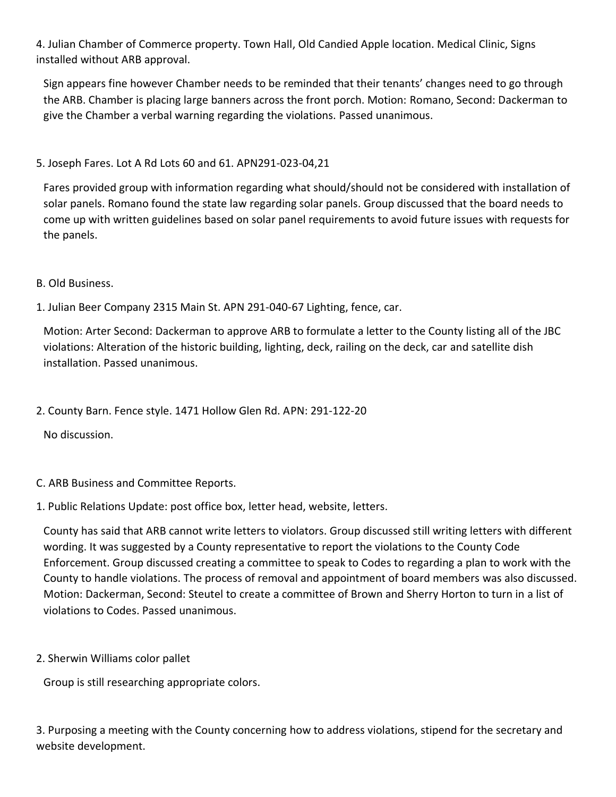4. Julian Chamber of Commerce property. Town Hall, Old Candied Apple location. Medical Clinic, Signs installed without ARB approval.

Sign appears fine however Chamber needs to be reminded that their tenants' changes need to go through the ARB. Chamber is placing large banners across the front porch. Motion: Romano, Second: Dackerman to give the Chamber a verbal warning regarding the violations. Passed unanimous.

## 5. Joseph Fares. Lot A Rd Lots 60 and 61. APN291-023-04,21

Fares provided group with information regarding what should/should not be considered with installation of solar panels. Romano found the state law regarding solar panels. Group discussed that the board needs to come up with written guidelines based on solar panel requirements to avoid future issues with requests for the panels.

B. Old Business.

1. Julian Beer Company 2315 Main St. APN 291-040-67 Lighting, fence, car.

Motion: Arter Second: Dackerman to approve ARB to formulate a letter to the County listing all of the JBC violations: Alteration of the historic building, lighting, deck, railing on the deck, car and satellite dish installation. Passed unanimous.

2. County Barn. Fence style. 1471 Hollow Glen Rd. APN: 291-122-20

No discussion.

- C. ARB Business and Committee Reports.
- 1. Public Relations Update: post office box, letter head, website, letters.

County has said that ARB cannot write letters to violators. Group discussed still writing letters with different wording. It was suggested by a County representative to report the violations to the County Code Enforcement. Group discussed creating a committee to speak to Codes to regarding a plan to work with the County to handle violations. The process of removal and appointment of board members was also discussed. Motion: Dackerman, Second: Steutel to create a committee of Brown and Sherry Horton to turn in a list of violations to Codes. Passed unanimous.

2. Sherwin Williams color pallet

Group is still researching appropriate colors.

3. Purposing a meeting with the County concerning how to address violations, stipend for the secretary and website development.